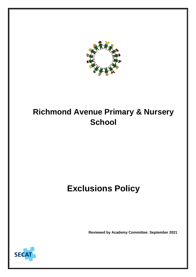

# **Richmond Avenue Primary & Nursery School**

# **Exclusions Policy**

**Reviewed by Academy Committee: September 2021**

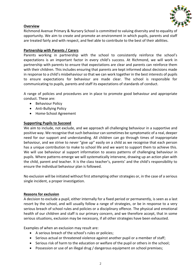

## **Overview**

Richmond Avenue Primary & Nursery School is committed to valuing diversity and to equality of opportunity. We aim to create and promote an environment in which pupils, parents and staff are treated fairly and with respect, and feel able to contribute to the best of their abilities.

#### **Partnership with Parents / Carers**

Parents working in partnership with the school to consistently reinforce the school's expectations is an important factor in every child's success. At Richmond, we will work in partnership with parents to ensure that expectations are clear and parents can reinforce them with their children. This includes ensuring that parents are kept informed about decisions made in response to a child's misbehaviour so that we can work together in the best interests of pupils to ensure expectations for behaviour are made clear. The school is responsible for communicating to pupils, parents and staff its expectations of standards of conduct.

A range of policies and procedures are in place to promote good behaviour and appropriate conduct. These are:

- Behaviour Policy
- Anti-Bullying Policy
- Home-School Agreement

#### **Supporting Pupils to Succeed**

We aim to include, not exclude, and we approach all challenging behaviour in a supportive and positive way. We recognise that such behaviour can sometimes be symptomatic of a real, deeper need for our support and understanding. All children can go through times of inappropriate behaviour, and we strive to never "give up" easily on a child as we recognise that each person has a unique contribution to make to school life and we want to support them to achieve this. We will use behaviour al support information to assess patterns of challenging behaviour in pupils. Where patterns emerge we will systematically intervene, drawing up an action plan with the child, parent and teacher. It is the class teacher's, parents' and the child's responsibility to ensure the individual behaviour plan is followed.

No exclusion will be initiated without first attempting other strategies or, in the case of a serious single incident, a proper investigation.

#### **Reasons for exclusion**

A decision to exclude a pupil, either internally for a fixed period or permanently, is seen as a last resort by the school, and will usually follow a range of strategies, or be in response to a very serious breach of school rules and policies or a disciplinary offence. The physical and emotional health of our children and staff is our primary concern, and we therefore accept, that in some serious situations, exclusion may be necessary, if all other strategies have been exhausted.

Examples of when an exclusion may result are:

- A serious breach of the school's rules or policies;
- Serious actual or threatened violence against another pupil or a member of staff;
- Serious risk of harm to the education or welfare of the pupil or others in the school;
- Possession or use of an illegal drug / dangerous equipment on school premises;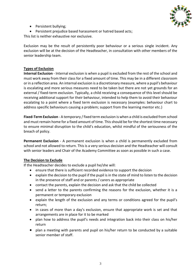

- Persistent bullying;
- Persistent prejudice based harassment or hatred based acts;

This list is neither exhaustive nor exclusive.

Exclusion may be the result of persistently poor behaviour or a serious single incident. Any exclusion will be at the decision of the Headteacher, in consultation with other members of the senior leadership team.

### **Types of Exclusion**

**Internal Exclusion** - Internal exclusion is when a pupil is excluded from the rest of the school and must work away from their class for a fixed amount of time. This may be in a different classroom or in a reflection area. An internal exclusion is a discretionary measure, where a pupil's behaviour is escalating and more serious measures need to be taken but there are not yet grounds for an external / fixed-term exclusion. Typically, a child receiving a consequence of this level should be receiving additional support for their behaviour, intended to help them to avoid their behaviour escalating to a point where a fixed term exclusion is necessary (examples: behaviour chart to address specific behaviours causing a problem; support from the learning mentor etc.)

**Fixed-Term Exclusion** - A temporary / fixed term exclusion is when a child is excluded from school and must remain home for a fixed amount of time. This should be for the shortest time necessary to ensure minimal disruption to the child's education, whilst mindful of the seriousness of the breach of policy.

**Permanent Exclusion** - A permanent exclusion is when a child is permanently excluded from school and not allowed to return. This is a very serious decision and the Headteacher will consult with senior leaders and Chair of the Academy Committee as soon as possible in such a case.

#### **The Decision to Exclude**

If the Headteacher decides to exclude a pupil he/she will:

- ensure that there is sufficient recorded evidence to support the decision
- explain the decision to the pupil if the pupil is in the state of mind to listen to the decision in the presence of staff and or parents / carers as appropriate
- contact the parents, explain the decision and ask that the child be collected
- send a letter to the parents confirming the reasons for the exclusion, whether it is a permanent or temporary exclusion
- explain the length of the exclusion and any terms or conditions agreed for the pupil's return;
- in cases of more than a day's exclusion, ensure that appropriate work is set and that arrangements are in place for it to be marked
- plan how to address the pupil's needs and integration back into their class on his/her return
- plan a meeting with parents and pupil on his/her return to be conducted by a suitable senior member of staff.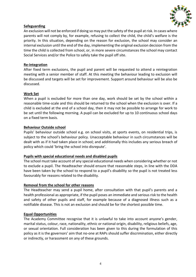

# **Safeguarding**

An exclusion will not be enforced if doing so may put the safety of the pupil at risk. In cases where parents will not comply by, for example, refusing to collect the child, the child's welfare is the priority. In this situation, depending on the reason for exclusion, the school may consider an internal exclusion until the end of the day, implementing the original exclusion decision from the time the child is collected from school, or, in more severe circumstances the school may contact Social Services and/or the Police to safely take the pupil off site.

## **Re-integration**

After fixed term exclusions, the pupil and parent will be requested to attend a reintegration meeting with a senior member of staff. At this meeting the behaviour leading to exclusion will be discussed and targets will be set for improvement. Support around behaviour will be also be discussed.

## **Work Set**

When a pupil is excluded for more than one day, work should be set by the school within a reasonable time-scale and this should be returned to the school when the exclusion is over. If a child is excluded at the end of a school day, then it may not be possible to arrange for work to be set until the following morning. A pupil can be excluded for up to 10 continuous school days on a fixed term basis.

## **Behaviour Outside school**

Pupils' behaviour outside school e.g. on school visits, at sports events, on residential trips, is subject to the school's behaviour policy. Unacceptable behaviour in such circumstances will be dealt with as if it had taken place in school; and additionally this includes any serious breach of policy which could 'bring the school into disrepute'.

## **Pupils with special educational needs and disabled pupils**

The school must take account of any special educational needs when considering whether or not to exclude a pupil. The Headteacher should ensure that reasonable steps, in line with the DDA have been taken by the school to respond to a pupil's disability so the pupil is not treated less favourably for reasons related to the disability.

## **Removal from the school for other reasons**

The Headteacher may send a pupil home, after consultation with that pupil's parents and a health professional as appropriate, if the pupil poses an immediate and serious risk to the health and safety of other pupils and staff, for example because of a diagnosed illness such as a notifiable disease. This is not an exclusion and should be for the shortest possible time.

## **Equal Opportunities**

The Academy Committee recognise that it is unlawful to take into account anyone's gender, marital status, colour, race, nationality, ethnic or national origin, disability, religious beliefs, age, or sexual orientation. Full consideration has been given to this during the formulation of this policy as it is the governors' aim that no-one at RAPs should suffer discrimination, either directly or indirectly, or harassment on any of these grounds.